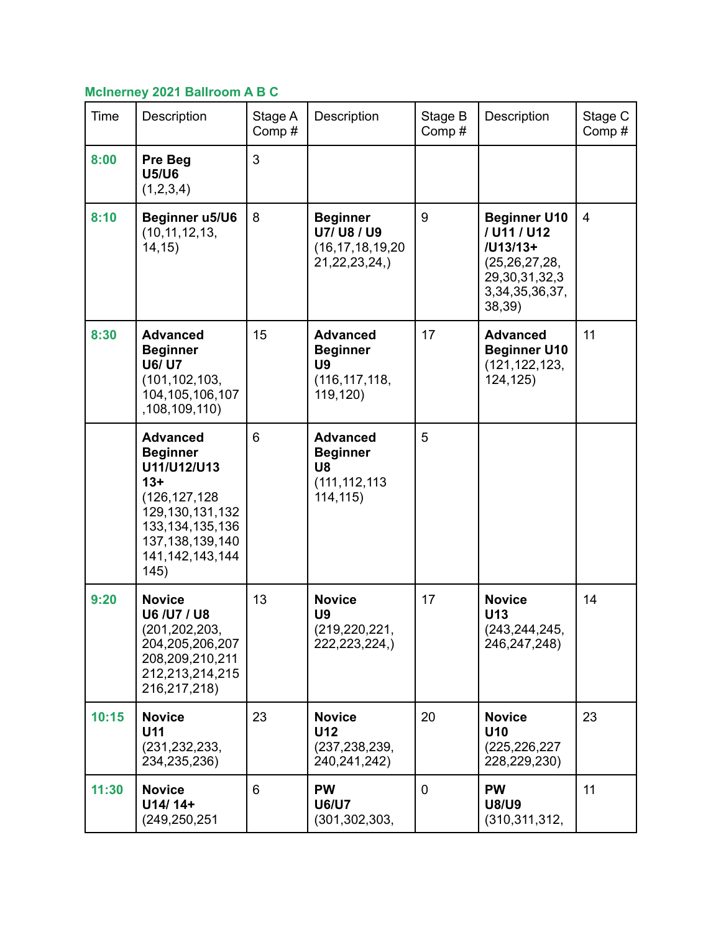## **McInerney 2021 Ballroom A B C**

| Time  | Description                                                                                                                                                                   | Stage A<br>Comp# | Description                                                                    | Stage B<br>Comp# | Description                                                                                                             | Stage C<br>Comp# |
|-------|-------------------------------------------------------------------------------------------------------------------------------------------------------------------------------|------------------|--------------------------------------------------------------------------------|------------------|-------------------------------------------------------------------------------------------------------------------------|------------------|
| 8:00  | Pre Beg<br><b>U5/U6</b><br>(1,2,3,4)                                                                                                                                          | 3                |                                                                                |                  |                                                                                                                         |                  |
| 8:10  | Beginner u5/U6<br>(10, 11, 12, 13,<br>14, 15)                                                                                                                                 | 8                | <b>Beginner</b><br>U7/ U8 / U9<br>(16, 17, 18, 19, 20)<br>21,22,23,24,)        | 9                | <b>Beginner U10</b><br>/ U11 / U12<br>/U13/13+<br>(25, 26, 27, 28,<br>29, 30, 31, 32, 3<br>3, 34, 35, 36, 37,<br>38,39) | $\overline{4}$   |
| 8:30  | <b>Advanced</b><br><b>Beginner</b><br><b>U6/ U7</b><br>(101, 102, 103,<br>104, 105, 106, 107<br>,108,109,110)                                                                 | 15               | <b>Advanced</b><br><b>Beginner</b><br><b>U9</b><br>(116, 117, 118,<br>119,120) | 17               | <b>Advanced</b><br><b>Beginner U10</b><br>(121, 122, 123,<br>124,125)                                                   | 11               |
|       | <b>Advanced</b><br><b>Beginner</b><br>U11/U12/U13<br>$13+$<br>(126, 127, 128)<br>129, 130, 131, 132<br>133, 134, 135, 136<br>137, 138, 139, 140<br>141, 142, 143, 144<br>145) | 6                | <b>Advanced</b><br><b>Beginner</b><br>U8<br>(111, 112, 113)<br>114, 115)       | 5                |                                                                                                                         |                  |
| 9:20  | <b>Novice</b><br>U6 /U7 / U8<br>(201, 202, 203,<br>204,205,206,207<br>208,209,210,211<br>212,213,214,215<br>216,217,218)                                                      | 13               | <b>Novice</b><br>U <sub>9</sub><br>(219, 220, 221,<br>222,223,224,)            | 17               | <b>Novice</b><br>U13<br>(243, 244, 245,<br>246,247,248)                                                                 | 14               |
| 10:15 | <b>Novice</b><br>U <sub>11</sub><br>(231, 232, 233,<br>234,235,236)                                                                                                           | 23               | <b>Novice</b><br>U12<br>(237, 238, 239,<br>240,241,242)                        | 20               | <b>Novice</b><br>U10<br>(225, 226, 227)<br>228,229,230)                                                                 | 23               |
| 11:30 | <b>Novice</b><br>U14/14+<br>(249, 250, 251)                                                                                                                                   | 6                | <b>PW</b><br><b>U6/U7</b><br>(301, 302, 303, )                                 | $\mathbf 0$      | <b>PW</b><br><b>U8/U9</b><br>(310, 311, 312,                                                                            | 11               |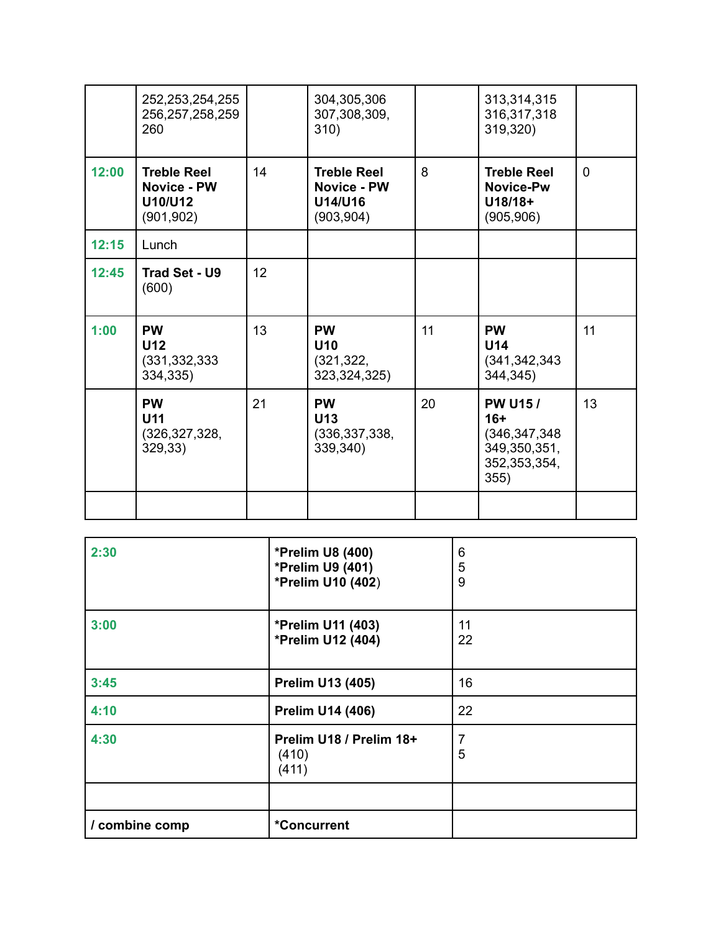|       | 252, 253, 254, 255<br>256, 257, 258, 259<br>260                   |    | 304,305,306<br>307,308,309,<br>310)                               |    | 313,314,315<br>316,317,318<br>319,320)                                               |          |
|-------|-------------------------------------------------------------------|----|-------------------------------------------------------------------|----|--------------------------------------------------------------------------------------|----------|
| 12:00 | <b>Treble Reel</b><br><b>Novice - PW</b><br>U10/U12<br>(901, 902) | 14 | <b>Treble Reel</b><br><b>Novice - PW</b><br>U14/U16<br>(903, 904) | 8  | <b>Treble Reel</b><br><b>Novice-Pw</b><br>$U18/18+$<br>(905, 906)                    | $\Omega$ |
| 12:15 | Lunch                                                             |    |                                                                   |    |                                                                                      |          |
| 12:45 | Trad Set - U9<br>(600)                                            | 12 |                                                                   |    |                                                                                      |          |
| 1:00  | <b>PW</b><br><b>U12</b><br>(331, 332, 333)<br>334,335)            | 13 | <b>PW</b><br>U <sub>10</sub><br>(321, 322, )<br>323,324,325)      | 11 | <b>PW</b><br>U14<br>(341, 342, 343)<br>344,345)                                      | 11       |
|       | <b>PW</b><br>U <sub>11</sub><br>(326, 327, 328,<br>329,33)        | 21 | <b>PW</b><br>U <sub>13</sub><br>(336, 337, 338,<br>339,340)       | 20 | <b>PW U15/</b><br>$16+$<br>(346, 347, 348)<br>349,350,351,<br>352, 353, 354,<br>355) | 13       |
|       |                                                                   |    |                                                                   |    |                                                                                      |          |

| 2:30           | <b>*Prelim U8 (400)</b><br>*Prelim U9 (401)<br>*Prelim U10 (402) | 6<br>5<br>9 |
|----------------|------------------------------------------------------------------|-------------|
| 3:00           | *Prelim U11 (403)<br>*Prelim U12 (404)                           | 11<br>22    |
| 3:45           | <b>Prelim U13 (405)</b>                                          | 16          |
| 4:10           | <b>Prelim U14 (406)</b>                                          | 22          |
| 4:30           | Prelim U18 / Prelim 18+<br>(410)<br>(411)                        | 7<br>5      |
|                |                                                                  |             |
| / combine comp | <i>*</i> Concurrent                                              |             |